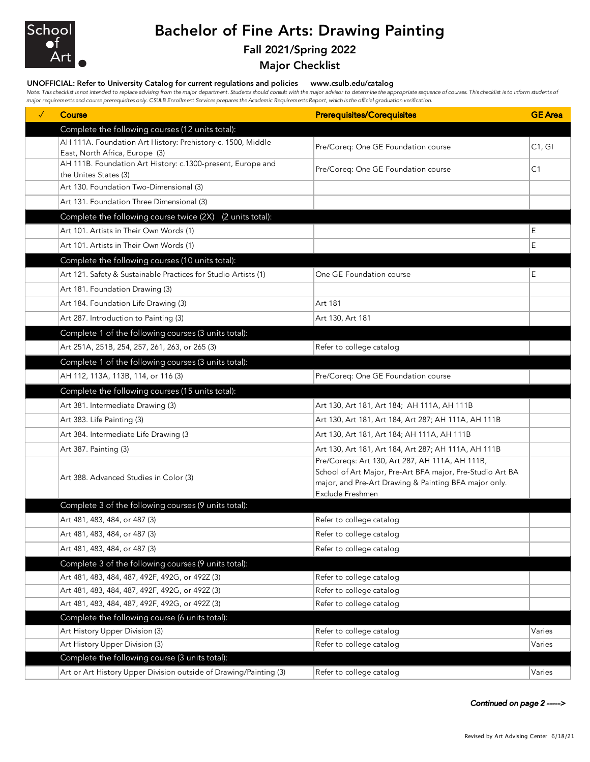

## Bachelor of Fine Arts: Drawing Painting

## Fall 2021/Spring 2022

Major Checklist

## UNOFFICIAL: Refer to University Catalog for current regulations and policies www.csulb.edu/catalog

Note: This checklist is not intended to replace advising from the major department. Students should consult with the major advisor to determine the appropriate sequence of courses. This checklist is to inform students of *major requirements and course prerequisites only. CSULB Enrollment Services prepares the Academic Requirements Report, which is the official graduation verification.*

| $\checkmark$ | <b>Course</b>                                                                                 | <b>Prerequisites/Corequisites</b>                                         | <b>GE</b> Area |
|--------------|-----------------------------------------------------------------------------------------------|---------------------------------------------------------------------------|----------------|
|              | Complete the following courses (12 units total):                                              |                                                                           |                |
|              | AH 111A. Foundation Art History: Prehistory-c. 1500, Middle                                   | Pre/Coreq: One GE Foundation course                                       | C1, G1         |
|              | East, North Africa, Europe (3)<br>AH 111B. Foundation Art History: c.1300-present, Europe and | Pre/Coreq: One GE Foundation course                                       | C <sub>1</sub> |
|              | the Unites States (3)                                                                         |                                                                           |                |
|              | Art 130. Foundation Two-Dimensional (3)                                                       |                                                                           |                |
|              | Art 131. Foundation Three Dimensional (3)                                                     |                                                                           |                |
|              | Complete the following course twice (2X)<br>(2 units total):                                  |                                                                           |                |
|              | Art 101. Artists in Their Own Words (1)                                                       |                                                                           | Е              |
|              | Art 101. Artists in Their Own Words (1)                                                       |                                                                           | E              |
|              | Complete the following courses (10 units total):                                              |                                                                           |                |
|              | Art 121. Safety & Sustainable Practices for Studio Artists (1)                                | One GE Foundation course                                                  | Е              |
|              | Art 181. Foundation Drawing (3)                                                               |                                                                           |                |
|              | Art 184. Foundation Life Drawing (3)                                                          | Art 181                                                                   |                |
|              | Art 287. Introduction to Painting (3)                                                         | Art 130, Art 181                                                          |                |
|              | Complete 1 of the following courses (3 units total):                                          |                                                                           |                |
|              | Art 251A, 251B, 254, 257, 261, 263, or 265 (3)                                                | Refer to college catalog                                                  |                |
|              | Complete 1 of the following courses (3 units total):                                          |                                                                           |                |
|              | AH 112, 113A, 113B, 114, or 116 (3)                                                           | Pre/Coreq: One GE Foundation course                                       |                |
|              | Complete the following courses (15 units total):                                              |                                                                           |                |
|              | Art 381. Intermediate Drawing (3)                                                             | Art 130, Art 181, Art 184; AH 111A, AH 111B                               |                |
|              | Art 383. Life Painting (3)                                                                    | Art 130, Art 181, Art 184, Art 287; AH 111A, AH 111B                      |                |
|              | Art 384. Intermediate Life Drawing (3                                                         | Art 130, Art 181, Art 184; AH 111A, AH 111B                               |                |
|              | Art 387. Painting (3)                                                                         | Art 130, Art 181, Art 184, Art 287; AH 111A, AH 111B                      |                |
|              | Art 388. Advanced Studies in Color (3)                                                        | Pre/Coreqs: Art 130, Art 287, AH 111A, AH 111B,                           |                |
|              |                                                                                               | School of Art Major, Pre-Art BFA major, Pre-Studio Art BA                 |                |
|              |                                                                                               | major, and Pre-Art Drawing & Painting BFA major only.<br>Exclude Freshmen |                |
|              | Complete 3 of the following courses (9 units total):                                          |                                                                           |                |
|              | Art 481, 483, 484, or 487 (3)                                                                 | Refer to college catalog                                                  |                |
|              | Art 481, 483, 484, or 487 (3)                                                                 | Refer to college catalog                                                  |                |
|              | Art 481, 483, 484, or 487 (3)                                                                 | Refer to college catalog                                                  |                |
|              | Complete 3 of the following courses (9 units total):                                          |                                                                           |                |
|              | Art 481, 483, 484, 487, 492F, 492G, or 492Z (3)                                               | Refer to college catalog                                                  |                |
|              | Art 481, 483, 484, 487, 492F, 492G, or 492Z (3)                                               | Refer to college catalog                                                  |                |
|              | Art 481, 483, 484, 487, 492F, 492G, or 492Z (3)                                               | Refer to college catalog                                                  |                |
|              | Complete the following course (6 units total):                                                |                                                                           |                |
|              | Art History Upper Division (3)                                                                | Refer to college catalog                                                  | Varies         |
|              | Art History Upper Division (3)                                                                | Refer to college catalog                                                  | Varies         |
|              | Complete the following course (3 units total):                                                |                                                                           |                |
|              | Art or Art History Upper Division outside of Drawing/Painting (3)                             | Refer to college catalog                                                  | Varies         |

*Continued on page 2 ----->*